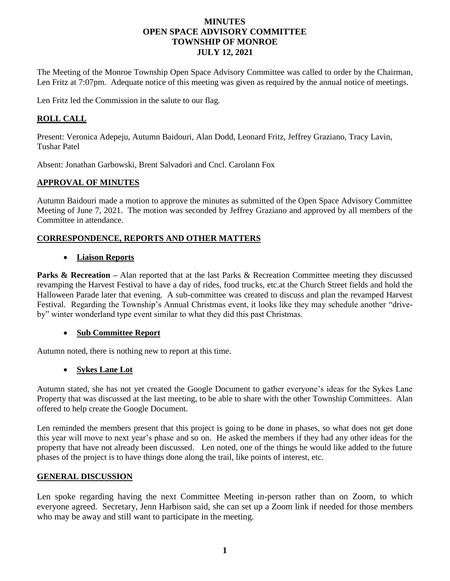### **MINUTES OPEN SPACE ADVISORY COMMITTEE TOWNSHIP OF MONROE JULY 12, 2021**

The Meeting of the Monroe Township Open Space Advisory Committee was called to order by the Chairman, Len Fritz at 7:07pm. Adequate notice of this meeting was given as required by the annual notice of meetings.

Len Fritz led the Commission in the salute to our flag.

# **ROLL CALL**

Present: Veronica Adepeju, Autumn Baidouri, Alan Dodd, Leonard Fritz, Jeffrey Graziano, Tracy Lavin, Tushar Patel

Absent: Jonathan Garbowski, Brent Salvadori and Cncl. Carolann Fox

## **APPROVAL OF MINUTES**

Autumn Baidouri made a motion to approve the minutes as submitted of the Open Space Advisory Committee Meeting of June 7, 2021. The motion was seconded by Jeffrey Graziano and approved by all members of the Committee in attendance.

## **CORRESPONDENCE, REPORTS AND OTHER MATTERS**

### • **Liaison Reports**

**Parks & Recreation** – Alan reported that at the last Parks & Recreation Committee meeting they discussed revamping the Harvest Festival to have a day of rides, food trucks, etc.at the Church Street fields and hold the Halloween Parade later that evening. A sub-committee was created to discuss and plan the revamped Harvest Festival. Regarding the Township's Annual Christmas event, it looks like they may schedule another "driveby" winter wonderland type event similar to what they did this past Christmas.

## • **Sub Committee Report**

Autumn noted, there is nothing new to report at this time.

### • **Sykes Lane Lot**

Autumn stated, she has not yet created the Google Document to gather everyone's ideas for the Sykes Lane Property that was discussed at the last meeting, to be able to share with the other Township Committees. Alan offered to help create the Google Document.

Len reminded the members present that this project is going to be done in phases, so what does not get done this year will move to next year's phase and so on. He asked the members if they had any other ideas for the property that have not already been discussed. Len noted, one of the things he would like added to the future phases of the project is to have things done along the trail, like points of interest, etc.

### **GENERAL DISCUSSION**

Len spoke regarding having the next Committee Meeting in-person rather than on Zoom, to which everyone agreed. Secretary, Jenn Harbison said, she can set up a Zoom link if needed for those members who may be away and still want to participate in the meeting.